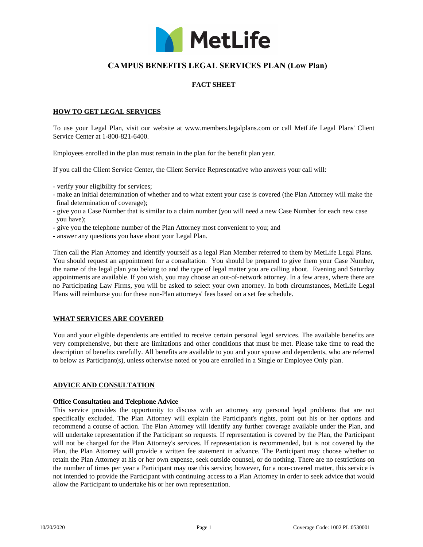

# **CAMPUS BENEFITS LEGAL SERVICES PLAN (Low Plan)**

# **FACT SHEET**

### **HOW TO GET LEGAL SERVICES**

To use your Legal Plan, visit our website at www.members.legalplans.com or call MetLife Legal Plans' Client Service Center at 1-800-821-6400.

Employees enrolled in the plan must remain in the plan for the benefit plan year.

If you call the Client Service Center, the Client Service Representative who answers your call will:

- verify your eligibility for services;
- make an initial determination of whether and to what extent your case is covered (the Plan Attorney will make the final determination of coverage);
- give you a Case Number that is similar to a claim number (you will need a new Case Number for each new case you have);
- give you the telephone number of the Plan Attorney most convenient to you; and
- answer any questions you have about your Legal Plan.

Then call the Plan Attorney and identify yourself as a legal Plan Member referred to them by MetLife Legal Plans. You should request an appointment for a consultation. You should be prepared to give them your Case Number, the name of the legal plan you belong to and the type of legal matter you are calling about. Evening and Saturday appointments are available. If you wish, you may choose an out-of-network attorney. In a few areas, where there are no Participating Law Firms, you will be asked to select your own attorney. In both circumstances, MetLife Legal Plans will reimburse you for these non-Plan attorneys' fees based on a set fee schedule.

# **WHAT SERVICES ARE COVERED**

You and your eligible dependents are entitled to receive certain personal legal services. The available benefits are very comprehensive, but there are limitations and other conditions that must be met. Please take time to read the description of benefits carefully. All benefits are available to you and your spouse and dependents, who are referred to below as Participant(s), unless otherwise noted or you are enrolled in a Single or Employee Only plan.

#### **ADVICE AND CONSULTATION**

#### **Office Consultation and Telephone Advice**

This service provides the opportunity to discuss with an attorney any personal legal problems that are not specifically excluded. The Plan Attorney will explain the Participant's rights, point out his or her options and recommend a course of action. The Plan Attorney will identify any further coverage available under the Plan, and will undertake representation if the Participant so requests. If representation is covered by the Plan, the Participant will not be charged for the Plan Attorney's services. If representation is recommended, but is not covered by the Plan, the Plan Attorney will provide a written fee statement in advance. The Participant may choose whether to retain the Plan Attorney at his or her own expense, seek outside counsel, or do nothing. There are no restrictions on the number of times per year a Participant may use this service; however, for a non-covered matter, this service is not intended to provide the Participant with continuing access to a Plan Attorney in order to seek advice that would allow the Participant to undertake his or her own representation.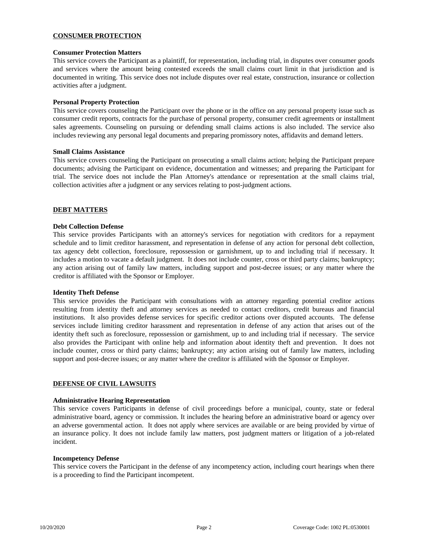# **CONSUMER PROTECTION**

#### **Consumer Protection Matters**

This service covers the Participant as a plaintiff, for representation, including trial, in disputes over consumer goods and services where the amount being contested exceeds the small claims court limit in that jurisdiction and is documented in writing. This service does not include disputes over real estate, construction, insurance or collection activities after a judgment.

### **Personal Property Protection**

This service covers counseling the Participant over the phone or in the office on any personal property issue such as consumer credit reports, contracts for the purchase of personal property, consumer credit agreements or installment sales agreements. Counseling on pursuing or defending small claims actions is also included. The service also includes reviewing any personal legal documents and preparing promissory notes, affidavits and demand letters.

#### **Small Claims Assistance**

This service covers counseling the Participant on prosecuting a small claims action; helping the Participant prepare documents; advising the Participant on evidence, documentation and witnesses; and preparing the Participant for trial. The service does not include the Plan Attorney's attendance or representation at the small claims trial, collection activities after a judgment or any services relating to post-judgment actions.

### **DEBT MATTERS**

#### **Debt Collection Defense**

This service provides Participants with an attorney's services for negotiation with creditors for a repayment schedule and to limit creditor harassment, and representation in defense of any action for personal debt collection, tax agency debt collection, foreclosure, repossession or garnishment, up to and including trial if necessary. It includes a motion to vacate a default judgment. It does not include counter, cross or third party claims; bankruptcy; any action arising out of family law matters, including support and post-decree issues; or any matter where the creditor is affiliated with the Sponsor or Employer.

#### **Identity Theft Defense**

This service provides the Participant with consultations with an attorney regarding potential creditor actions resulting from identity theft and attorney services as needed to contact creditors, credit bureaus and financial institutions. It also provides defense services for specific creditor actions over disputed accounts. The defense services include limiting creditor harassment and representation in defense of any action that arises out of the identity theft such as foreclosure, repossession or garnishment, up to and including trial if necessary. The service also provides the Participant with online help and information about identity theft and prevention. It does not include counter, cross or third party claims; bankruptcy; any action arising out of family law matters, including support and post-decree issues; or any matter where the creditor is affiliated with the Sponsor or Employer.

### **DEFENSE OF CIVIL LAWSUITS**

#### **Administrative Hearing Representation**

This service covers Participants in defense of civil proceedings before a municipal, county, state or federal administrative board, agency or commission. It includes the hearing before an administrative board or agency over an adverse governmental action. It does not apply where services are available or are being provided by virtue of an insurance policy. It does not include family law matters, post judgment matters or litigation of a job-related incident.

#### **Incompetency Defense**

This service covers the Participant in the defense of any incompetency action, including court hearings when there is a proceeding to find the Participant incompetent.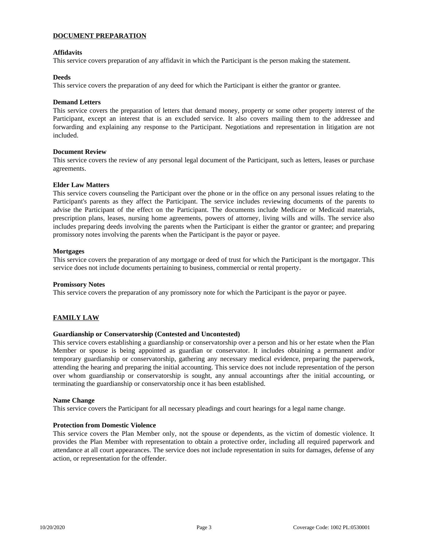# **DOCUMENT PREPARATION**

# **Affidavits**

This service covers preparation of any affidavit in which the Participant is the person making the statement.

### **Deeds**

This service covers the preparation of any deed for which the Participant is either the grantor or grantee.

### **Demand Letters**

This service covers the preparation of letters that demand money, property or some other property interest of the Participant, except an interest that is an excluded service. It also covers mailing them to the addressee and forwarding and explaining any response to the Participant. Negotiations and representation in litigation are not included.

### **Document Review**

This service covers the review of any personal legal document of the Participant, such as letters, leases or purchase agreements.

#### **Elder Law Matters**

This service covers counseling the Participant over the phone or in the office on any personal issues relating to the Participant's parents as they affect the Participant. The service includes reviewing documents of the parents to advise the Participant of the effect on the Participant. The documents include Medicare or Medicaid materials, prescription plans, leases, nursing home agreements, powers of attorney, living wills and wills. The service also includes preparing deeds involving the parents when the Participant is either the grantor or grantee; and preparing promissory notes involving the parents when the Participant is the payor or payee.

### **Mortgages**

This service covers the preparation of any mortgage or deed of trust for which the Participant is the mortgagor. This service does not include documents pertaining to business, commercial or rental property.

#### **Promissory Notes**

This service covers the preparation of any promissory note for which the Participant is the payor or payee.

# **FAMILY LAW**

# **Guardianship or Conservatorship (Contested and Uncontested)**

This service covers establishing a guardianship or conservatorship over a person and his or her estate when the Plan Member or spouse is being appointed as guardian or conservator. It includes obtaining a permanent and/or temporary guardianship or conservatorship, gathering any necessary medical evidence, preparing the paperwork, attending the hearing and preparing the initial accounting. This service does not include representation of the person over whom guardianship or conservatorship is sought, any annual accountings after the initial accounting, or terminating the guardianship or conservatorship once it has been established.

#### **Name Change**

This service covers the Participant for all necessary pleadings and court hearings for a legal name change.

# **Protection from Domestic Violence**

This service covers the Plan Member only, not the spouse or dependents, as the victim of domestic violence. It provides the Plan Member with representation to obtain a protective order, including all required paperwork and attendance at all court appearances. The service does not include representation in suits for damages, defense of any action, or representation for the offender.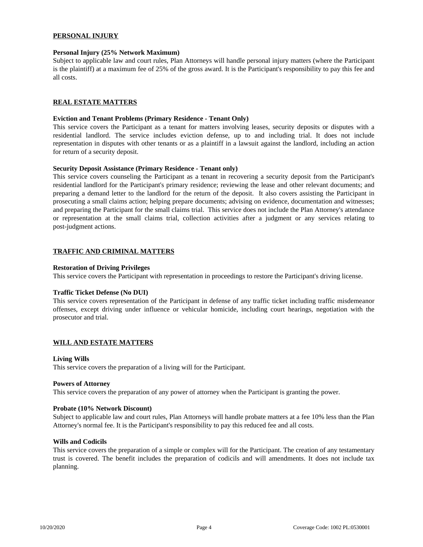# **PERSONAL INJURY**

#### **Personal Injury (25% Network Maximum)**

Subject to applicable law and court rules, Plan Attorneys will handle personal injury matters (where the Participant is the plaintiff) at a maximum fee of 25% of the gross award. It is the Participant's responsibility to pay this fee and all costs.

### **REAL ESTATE MATTERS**

#### **Eviction and Tenant Problems (Primary Residence - Tenant Only)**

This service covers the Participant as a tenant for matters involving leases, security deposits or disputes with a residential landlord. The service includes eviction defense, up to and including trial. It does not include representation in disputes with other tenants or as a plaintiff in a lawsuit against the landlord, including an action for return of a security deposit.

#### **Security Deposit Assistance (Primary Residence - Tenant only)**

This service covers counseling the Participant as a tenant in recovering a security deposit from the Participant's residential landlord for the Participant's primary residence; reviewing the lease and other relevant documents; and preparing a demand letter to the landlord for the return of the deposit. It also covers assisting the Participant in prosecuting a small claims action; helping prepare documents; advising on evidence, documentation and witnesses; and preparing the Participant for the small claims trial. This service does not include the Plan Attorney's attendance or representation at the small claims trial, collection activities after a judgment or any services relating to post-judgment actions.

#### **TRAFFIC AND CRIMINAL MATTERS**

#### **Restoration of Driving Privileges**

This service covers the Participant with representation in proceedings to restore the Participant's driving license.

#### **Traffic Ticket Defense (No DUI)**

This service covers representation of the Participant in defense of any traffic ticket including traffic misdemeanor offenses, except driving under influence or vehicular homicide, including court hearings, negotiation with the prosecutor and trial.

#### **WILL AND ESTATE MATTERS**

#### **Living Wills**

This service covers the preparation of a living will for the Participant.

#### **Powers of Attorney**

This service covers the preparation of any power of attorney when the Participant is granting the power.

#### **Probate (10% Network Discount)**

Subject to applicable law and court rules, Plan Attorneys will handle probate matters at a fee 10% less than the Plan Attorney's normal fee. It is the Participant's responsibility to pay this reduced fee and all costs.

### **Wills and Codicils**

This service covers the preparation of a simple or complex will for the Participant. The creation of any testamentary trust is covered. The benefit includes the preparation of codicils and will amendments. It does not include tax planning.